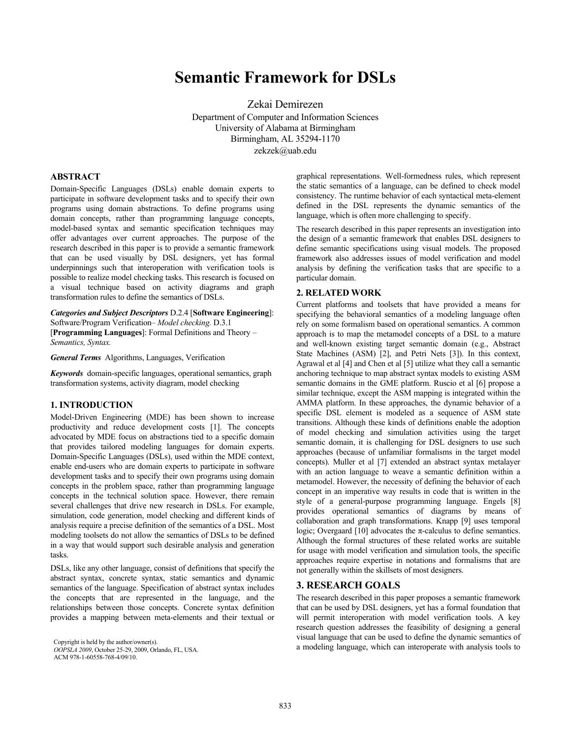# **Semantic Framework for DSLs**

Zekai Demirezen Department of Computer and Information Sciences University of Alabama at Birmingham Birmingham, AL 35294-1170 zekzek@uab.edu

#### **ABSTRACT**

Domain-Specific Languages (DSLs) enable domain experts to participate in software development tasks and to specify their own programs using domain abstractions. To define programs using domain concepts, rather than programming language concepts, model-based syntax and semantic specification techniques may offer advantages over current approaches. The purpose of the research described in this paper is to provide a semantic framework that can be used visually by DSL designers, yet has formal underpinnings such that interoperation with verification tools is possible to realize model checking tasks. This research is focused on a visual technique based on activity diagrams and graph transformation rules to define the semantics of DSLs.

*Categories and Subject Descriptors* D.2.4 [**Software Engineering**]: Software/Program Verification– *Model checking.* D.3.1

[**Programming Languages**]: Formal Definitions and Theory – *Semantics, Syntax.* 

*General Terms* Algorithms, Languages, Verification

*Keywords* domain-specific languages, operational semantics, graph transformation systems, activity diagram, model checking

## **1. INTRODUCTION**

Model-Driven Engineering (MDE) has been shown to increase productivity and reduce development costs [1]. The concepts advocated by MDE focus on abstractions tied to a specific domain that provides tailored modeling languages for domain experts. Domain-Specific Languages (DSLs), used within the MDE context, enable end-users who are domain experts to participate in software development tasks and to specify their own programs using domain concepts in the problem space, rather than programming language concepts in the technical solution space. However, there remain several challenges that drive new research in DSLs. For example, simulation, code generation, model checking and different kinds of analysis require a precise definition of the semantics of a DSL. Most modeling toolsets do not allow the semantics of DSLs to be defined in a way that would support such desirable analysis and generation tasks.

DSLs, like any other language, consist of definitions that specify the abstract syntax, concrete syntax, static semantics and dynamic semantics of the language. Specification of abstract syntax includes the concepts that are represented in the language, and the relationships between those concepts. Concrete syntax definition provides a mapping between meta-elements and their textual or

*OOPSLA 2009*, October 25-29, 2009, Orlando, FL, USA. ACM 978-1-60558-768-4/09/10.

graphical representations. Well-formedness rules, which represent the static semantics of a language, can be defined to check model consistency. The runtime behavior of each syntactical meta-element defined in the DSL represents the dynamic semantics of the language, which is often more challenging to specify.

The research described in this paper represents an investigation into the design of a semantic framework that enables DSL designers to define semantic specifications using visual models. The proposed framework also addresses issues of model verification and model analysis by defining the verification tasks that are specific to a particular domain.

#### **2. RELATED WORK**

Current platforms and toolsets that have provided a means for specifying the behavioral semantics of a modeling language often rely on some formalism based on operational semantics. A common approach is to map the metamodel concepts of a DSL to a mature and well-known existing target semantic domain (e.g., Abstract State Machines (ASM) [2], and Petri Nets [3]). In this context, Agrawal et al [4] and Chen et al [5] utilize what they call a semantic anchoring technique to map abstract syntax models to existing ASM semantic domains in the GME platform. Ruscio et al [6] propose a similar technique, except the ASM mapping is integrated within the AMMA platform. In these approaches, the dynamic behavior of a specific DSL element is modeled as a sequence of ASM state transitions. Although these kinds of definitions enable the adoption of model checking and simulation activities using the target semantic domain, it is challenging for DSL designers to use such approaches (because of unfamiliar formalisms in the target model concepts). Muller et al [7] extended an abstract syntax metalayer with an action language to weave a semantic definition within a metamodel. However, the necessity of defining the behavior of each concept in an imperative way results in code that is written in the style of a general-purpose programming language. Engels [8] provides operational semantics of diagrams by means of collaboration and graph transformations. Knapp [9] uses temporal logic; Overgaard [10] advocates the  $\pi$ -calculus to define semantics. Although the formal structures of these related works are suitable for usage with model verification and simulation tools, the specific approaches require expertise in notations and formalisms that are not generally within the skillsets of most designers.

## **3. RESEARCH GOALS**

The research described in this paper proposes a semantic framework that can be used by DSL designers, yet has a formal foundation that will permit interoperation with model verification tools. A key research question addresses the feasibility of designing a general visual language that can be used to define the dynamic semantics of Copyright is held by the author/owner(s).<br>
COPSI 4 2009 October 25.29 2009 Orlando EL USA a modeling language, which can interoperate with analysis tools to